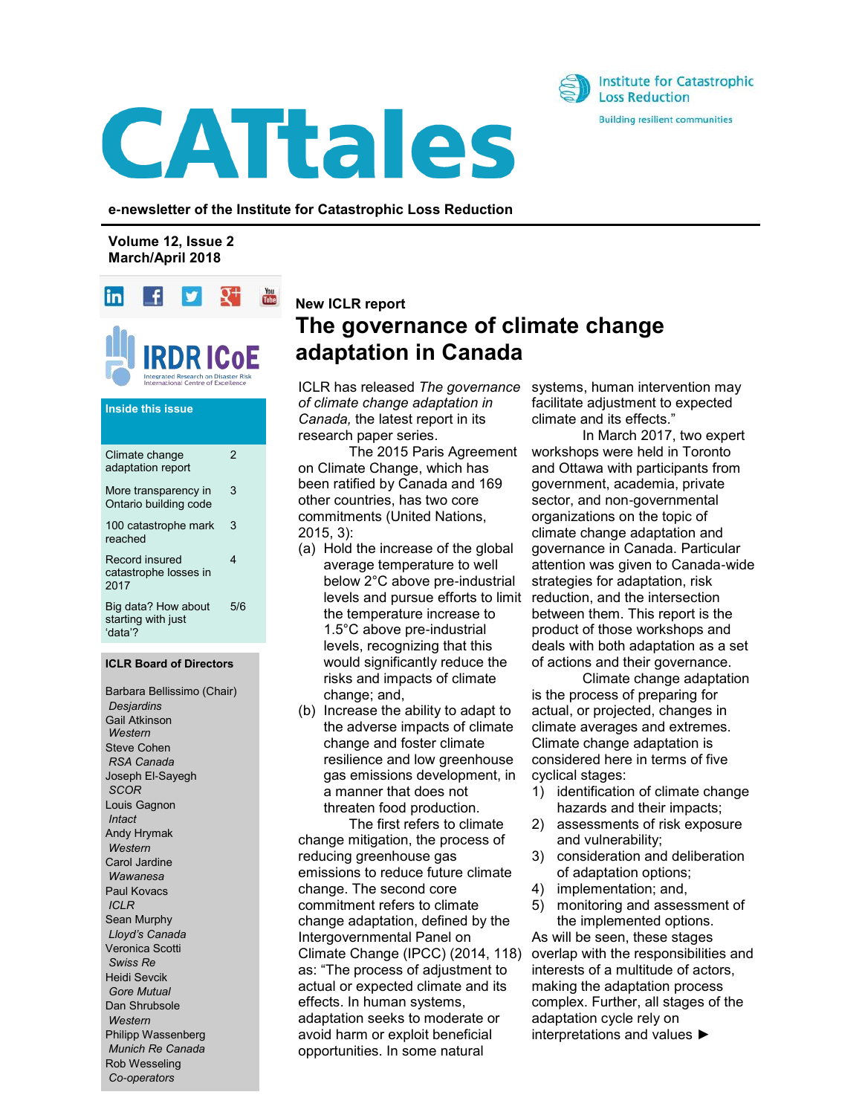



**e-newsletter of the Institute for Catastrophic Loss Reduction**

**Volume 12, Issue 2 March/April 2018**



# **Inside this issue**

| Climate change<br>adaptation report                  | $\mathfrak{p}$ |
|------------------------------------------------------|----------------|
| More transparency in<br>Ontario building code        | 3              |
| 100 catastrophe mark<br>reached                      | 3              |
| Record insured<br>catastrophe losses in<br>2017      | 4              |
| Big data? How about<br>starting with just<br>ʻdata'? | 5/6            |

#### **ICLR Board of Directors**

Barbara Bellissimo (Chair) *Desjardins* Gail Atkinson *Western* Steve Cohen *RSA Canada* Joseph El-Sayegh *SCOR* Louis Gagnon *Intact*  Andy Hrymak *Western* Carol Jardine *Wawanesa* Paul Kovacs *ICLR* Sean Murphy *Lloyd's Canada* Veronica Scotti *Swiss Re* Heidi Sevcik *Gore Mutual* Dan Shrubsole *Western* Philipp Wassenberg *Munich Re Canada* Rob Wesseling *Co-operators*

# **New ICLR report The governance of climate change adaptation in Canada**

ICLR has released *The governance of climate change adaptation in Canada,* the latest report in its research paper series.

The 2015 Paris Agreement on Climate Change, which has been ratified by Canada and 169 other countries, has two core commitments (United Nations, 2015, 3):

- (a) Hold the increase of the global average temperature to well below 2°C above pre-industrial levels and pursue efforts to limit the temperature increase to 1.5°C above pre-industrial levels, recognizing that this would significantly reduce the risks and impacts of climate change; and,
- (b) Increase the ability to adapt to the adverse impacts of climate change and foster climate resilience and low greenhouse gas emissions development, in a manner that does not threaten food production.

The first refers to climate change mitigation, the process of reducing greenhouse gas emissions to reduce future climate change. The second core commitment refers to climate change adaptation, defined by the Intergovernmental Panel on Climate Change (IPCC) (2014, 118) as: "The process of adjustment to actual or expected climate and its effects. In human systems, adaptation seeks to moderate or avoid harm or exploit beneficial opportunities. In some natural

systems, human intervention may facilitate adjustment to expected climate and its effects."

In March 2017, two expert workshops were held in Toronto and Ottawa with participants from government, academia, private sector, and non-governmental organizations on the topic of climate change adaptation and governance in Canada. Particular attention was given to Canada-wide strategies for adaptation, risk reduction, and the intersection between them. This report is the product of those workshops and deals with both adaptation as a set of actions and their governance.

Climate change adaptation is the process of preparing for actual, or projected, changes in climate averages and extremes. Climate change adaptation is considered here in terms of five cyclical stages:

- 1) identification of climate change hazards and their impacts;
- 2) assessments of risk exposure and vulnerability;
- 3) consideration and deliberation of adaptation options;
- 4) implementation; and,
- 5) monitoring and assessment of the implemented options. As will be seen, these stages

overlap with the responsibilities and interests of a multitude of actors, making the adaptation process complex. Further, all stages of the adaptation cycle rely on interpretations and values ►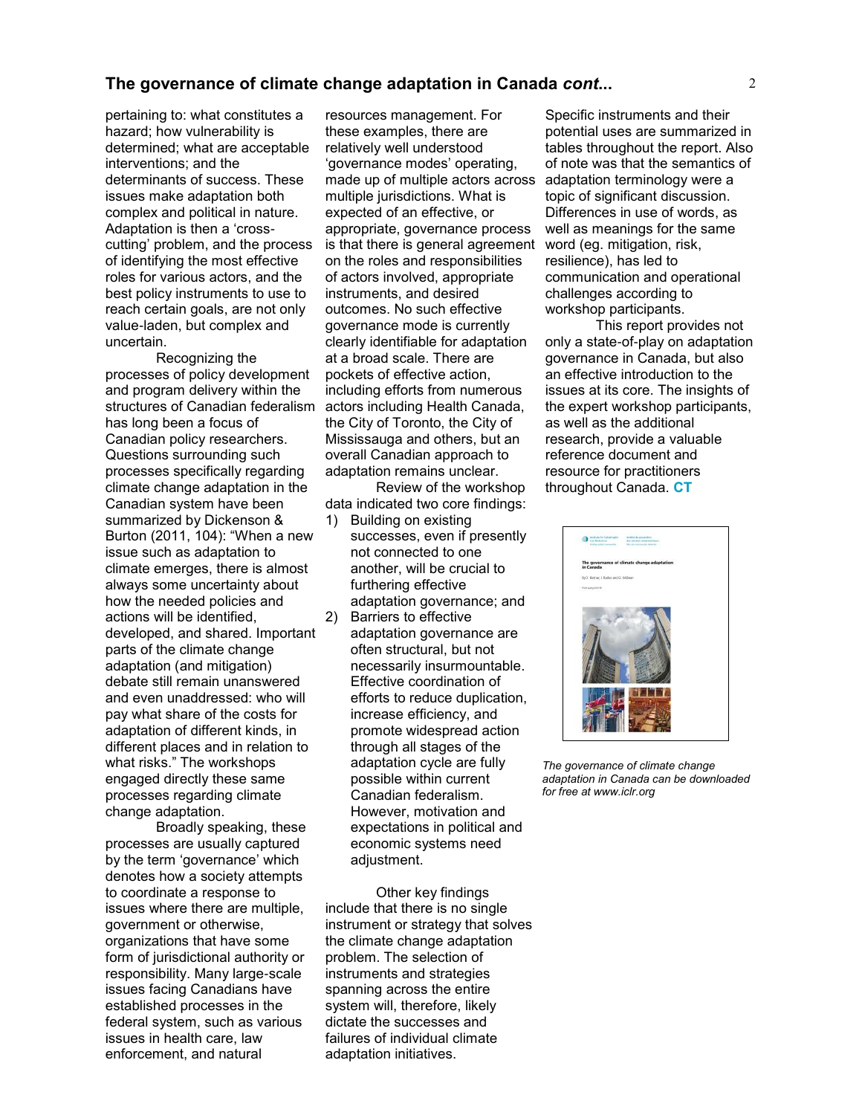# **The governance of climate change adaptation in Canada** *cont***...**

pertaining to: what constitutes a hazard; how vulnerability is determined; what are acceptable interventions; and the determinants of success. These issues make adaptation both complex and political in nature. Adaptation is then a 'crosscutting' problem, and the process of identifying the most effective roles for various actors, and the best policy instruments to use to reach certain goals, are not only value-laden, but complex and uncertain.

Recognizing the processes of policy development and program delivery within the structures of Canadian federalism actors including Health Canada, has long been a focus of Canadian policy researchers. Questions surrounding such processes specifically regarding climate change adaptation in the Canadian system have been summarized by Dickenson & Burton (2011, 104): "When a new issue such as adaptation to climate emerges, there is almost always some uncertainty about how the needed policies and actions will be identified, developed, and shared. Important parts of the climate change adaptation (and mitigation) debate still remain unanswered and even unaddressed: who will pay what share of the costs for adaptation of different kinds, in different places and in relation to what risks." The workshops engaged directly these same processes regarding climate change adaptation.

Broadly speaking, these processes are usually captured by the term 'governance' which denotes how a society attempts to coordinate a response to issues where there are multiple, government or otherwise, organizations that have some form of jurisdictional authority or responsibility. Many large-scale issues facing Canadians have established processes in the federal system, such as various issues in health care, law enforcement, and natural

resources management. For these examples, there are relatively well understood 'governance modes' operating, made up of multiple actors across adaptation terminology were a multiple jurisdictions. What is expected of an effective, or appropriate, governance process is that there is general agreement on the roles and responsibilities of actors involved, appropriate instruments, and desired outcomes. No such effective governance mode is currently clearly identifiable for adaptation at a broad scale. There are pockets of effective action, including efforts from numerous the City of Toronto, the City of Mississauga and others, but an overall Canadian approach to adaptation remains unclear.

Review of the workshop data indicated two core findings:

- 1) Building on existing successes, even if presently not connected to one another, will be crucial to furthering effective adaptation governance; and
- 2) Barriers to effective adaptation governance are often structural, but not necessarily insurmountable. Effective coordination of efforts to reduce duplication, increase efficiency, and promote widespread action through all stages of the adaptation cycle are fully possible within current Canadian federalism. However, motivation and expectations in political and economic systems need adjustment.

Other key findings include that there is no single instrument or strategy that solves the climate change adaptation problem. The selection of instruments and strategies spanning across the entire system will, therefore, likely dictate the successes and failures of individual climate adaptation initiatives.

Specific instruments and their potential uses are summarized in tables throughout the report. Also of note was that the semantics of topic of significant discussion. Differences in use of words, as well as meanings for the same word (eg. mitigation, risk, resilience), has led to communication and operational challenges according to workshop participants.

This report provides not only a state-of-play on adaptation governance in Canada, but also an effective introduction to the issues at its core. The insights of the expert workshop participants, as well as the additional research, provide a valuable reference document and resource for practitioners throughout Canada. **CT**



*The governance of climate change adaptation in Canada can be downloaded for free at www.iclr.org*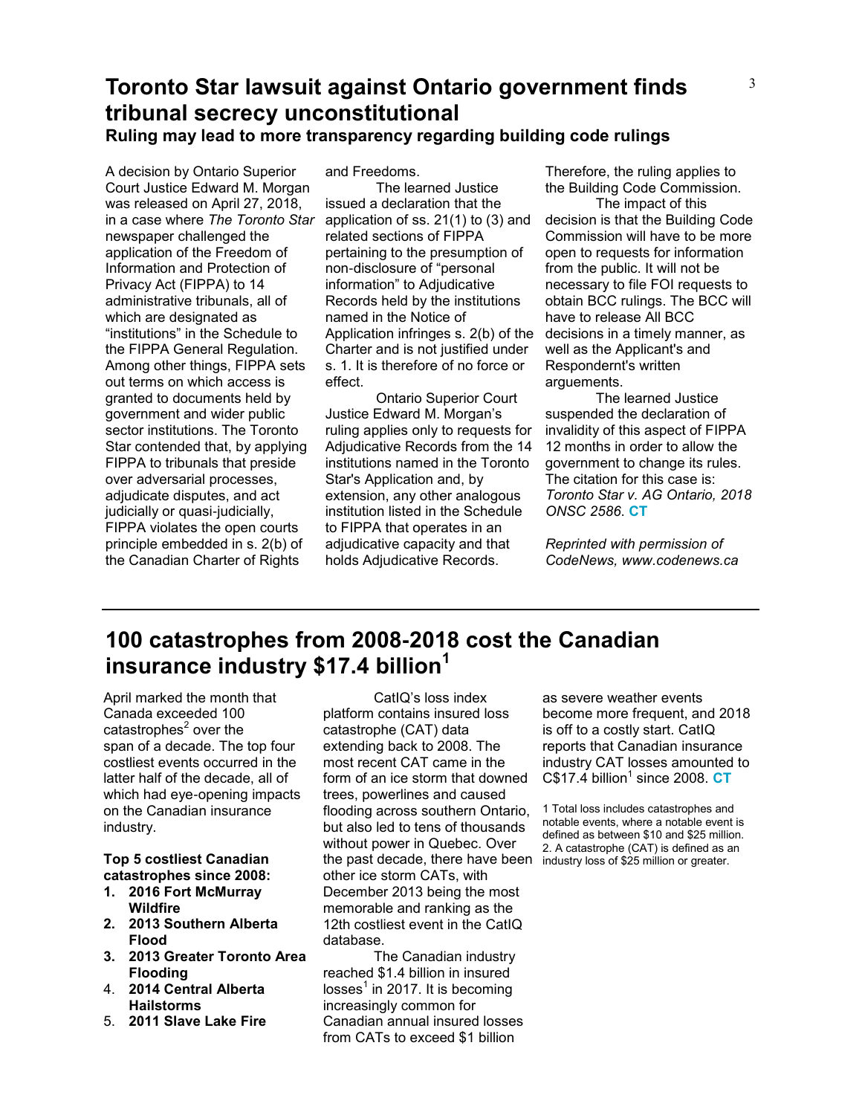# **Toronto Star lawsuit against Ontario government finds tribunal secrecy unconstitutional Ruling may lead to more transparency regarding building code rulings**

A decision by Ontario Superior Court Justice Edward M. Morgan was released on April 27, 2018, in a case where *The Toronto Star*  newspaper challenged the application of the Freedom of Information and Protection of Privacy Act (FIPPA) to 14 administrative tribunals, all of which are designated as "institutions" in the Schedule to the FIPPA General Regulation. Among other things, FIPPA sets out terms on which access is granted to documents held by government and wider public sector institutions. The Toronto Star contended that, by applying FIPPA to tribunals that preside over adversarial processes, adjudicate disputes, and act judicially or quasi-judicially, FIPPA violates the open courts principle embedded in s. 2(b) of the Canadian Charter of Rights

and Freedoms.

The learned Justice issued a declaration that the application of ss. 21(1) to (3) and related sections of FIPPA pertaining to the presumption of non-disclosure of "personal information" to Adjudicative Records held by the institutions named in the Notice of Application infringes s. 2(b) of the Charter and is not justified under s. 1. It is therefore of no force or effect.

Ontario Superior Court Justice Edward M. Morgan's ruling applies only to requests for Adjudicative Records from the 14 institutions named in the Toronto Star's Application and, by extension, any other analogous institution listed in the Schedule to FIPPA that operates in an adjudicative capacity and that holds Adjudicative Records.

Therefore, the ruling applies to the Building Code Commission.

The impact of this decision is that the Building Code Commission will have to be more open to requests for information from the public. It will not be necessary to file FOI requests to obtain BCC rulings. The BCC will have to release All BCC decisions in a timely manner, as well as the Applicant's and Respondernt's written arguements.

The learned Justice suspended the declaration of invalidity of this aspect of FIPPA 12 months in order to allow the government to change its rules. The citation for this case is: *Toronto Star v. AG Ontario, 2018 ONSC 2586*. **CT**

*Reprinted with permission of CodeNews, www.codenews.ca*

# **100 catastrophes from 2008-2018 cost the Canadian insurance industry \$17.4 billion<sup>1</sup>**

April marked the month that Canada exceeded 100 catastrophes<sup>2</sup> over the span of a decade. The top four costliest events occurred in the latter half of the decade, all of which had eye-opening impacts on the Canadian insurance industry.

## **Top 5 costliest Canadian catastrophes since 2008:**

- **1. 2016 Fort McMurray Wildfire**
- **2. 2013 Southern Alberta Flood**
- **3. 2013 Greater Toronto Area Flooding**
- 4. **2014 Central Alberta Hailstorms**
- 5. **2011 Slave Lake Fire**

CatIQ's loss index platform contains insured loss catastrophe (CAT) data extending back to 2008. The most recent CAT came in the form of an ice storm that downed trees, powerlines and caused flooding across southern Ontario, but also led to tens of thousands without power in Quebec. Over the past decade, there have been industry loss of \$25 million or greater. other ice storm CATs, with December 2013 being the most memorable and ranking as the 12th costliest event in the CatIQ database.

The Canadian industry reached \$1.4 billion in insured losses $^1$  in 2017. It is becoming increasingly common for Canadian annual insured losses from CATs to exceed \$1 billion

as severe weather events become more frequent, and 2018 is off to a costly start. CatIQ reports that Canadian insurance industry CAT losses amounted to C\$17.4 billion<sup>1</sup> since 2008. **CT** 

1 Total loss includes catastrophes and notable events, where a notable event is defined as between \$10 and \$25 million. 2. A catastrophe (CAT) is defined as an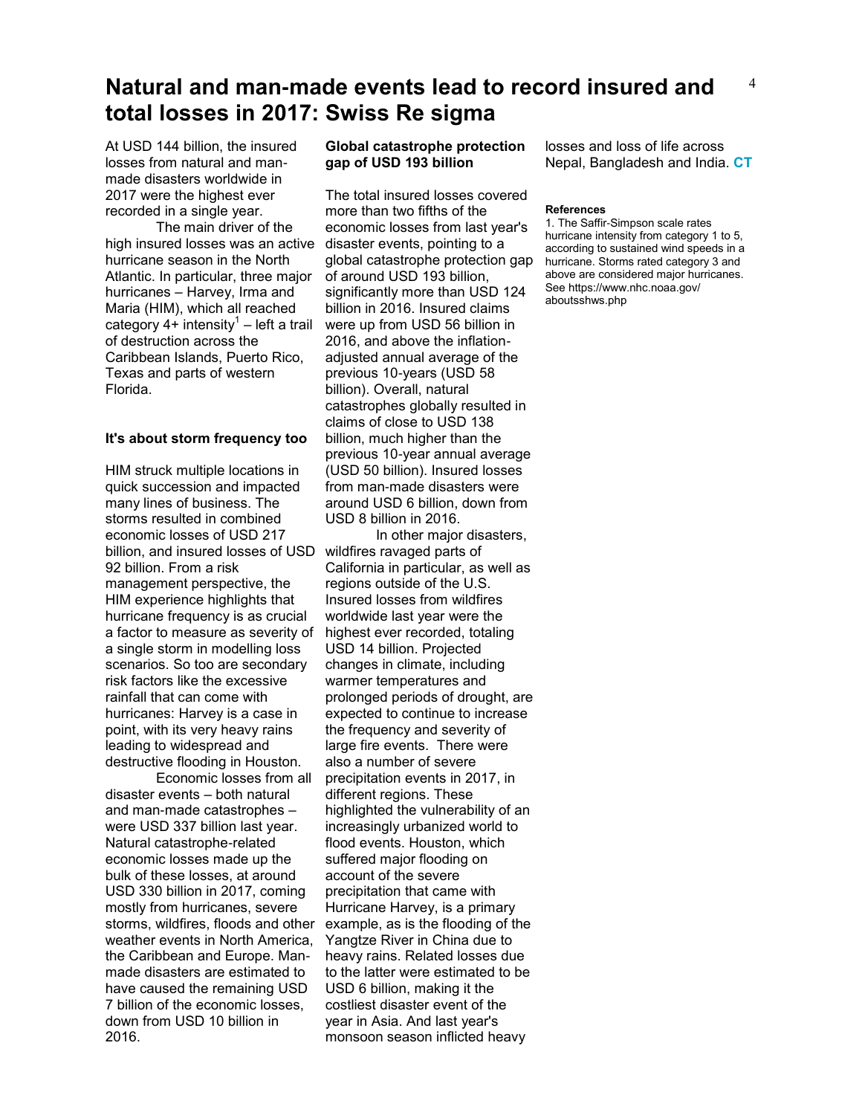## 4 **Natural and man-made events lead to record insured and total losses in 2017: Swiss Re sigma**

At USD 144 billion, the insured losses from natural and manmade disasters worldwide in 2017 were the highest ever recorded in a single year.

The main driver of the high insured losses was an active disaster events, pointing to a hurricane season in the North Atlantic. In particular, three major hurricanes – Harvey, Irma and Maria (HIM), which all reached category  $4+$  intensity<sup>1</sup> – left a trail of destruction across the Caribbean Islands, Puerto Rico, Texas and parts of western Florida.

#### **It's about storm frequency too**

HIM struck multiple locations in quick succession and impacted many lines of business. The storms resulted in combined economic losses of USD 217 billion, and insured losses of USD wildfires ravaged parts of 92 billion. From a risk management perspective, the HIM experience highlights that hurricane frequency is as crucial a factor to measure as severity of a single storm in modelling loss scenarios. So too are secondary risk factors like the excessive rainfall that can come with hurricanes: Harvey is a case in point, with its very heavy rains leading to widespread and destructive flooding in Houston.

Economic losses from all disaster events – both natural and man-made catastrophes – were USD 337 billion last year. Natural catastrophe-related economic losses made up the bulk of these losses, at around USD 330 billion in 2017, coming mostly from hurricanes, severe storms, wildfires, floods and other weather events in North America, the Caribbean and Europe. Manmade disasters are estimated to have caused the remaining USD 7 billion of the economic losses, down from USD 10 billion in 2016.

## **Global catastrophe protection gap of USD 193 billion**

The total insured losses covered more than two fifths of the economic losses from last year's global catastrophe protection gap of around USD 193 billion, significantly more than USD 124 billion in 2016. Insured claims were up from USD 56 billion in 2016, and above the inflationadjusted annual average of the previous 10-years (USD 58 billion). Overall, natural catastrophes globally resulted in claims of close to USD 138 billion, much higher than the previous 10-year annual average (USD 50 billion). Insured losses from man-made disasters were around USD 6 billion, down from USD 8 billion in 2016.

In other major disasters, California in particular, as well as regions outside of the U.S. Insured losses from wildfires worldwide last year were the highest ever recorded, totaling USD 14 billion. Projected changes in climate, including warmer temperatures and prolonged periods of drought, are expected to continue to increase the frequency and severity of large fire events. There were also a number of severe precipitation events in 2017, in different regions. These highlighted the vulnerability of an increasingly urbanized world to flood events. Houston, which suffered major flooding on account of the severe precipitation that came with Hurricane Harvey, is a primary example, as is the flooding of the Yangtze River in China due to heavy rains. Related losses due to the latter were estimated to be USD 6 billion, making it the costliest disaster event of the year in Asia. And last year's monsoon season inflicted heavy

losses and loss of life across Nepal, Bangladesh and India. **CT**

#### **References**

1. The Saffir-Simpson scale rates hurricane intensity from category 1 to 5, according to sustained wind speeds in a hurricane. Storms rated category 3 and above are considered major hurricanes. See https://www.nhc.noaa.gov/ aboutsshws.php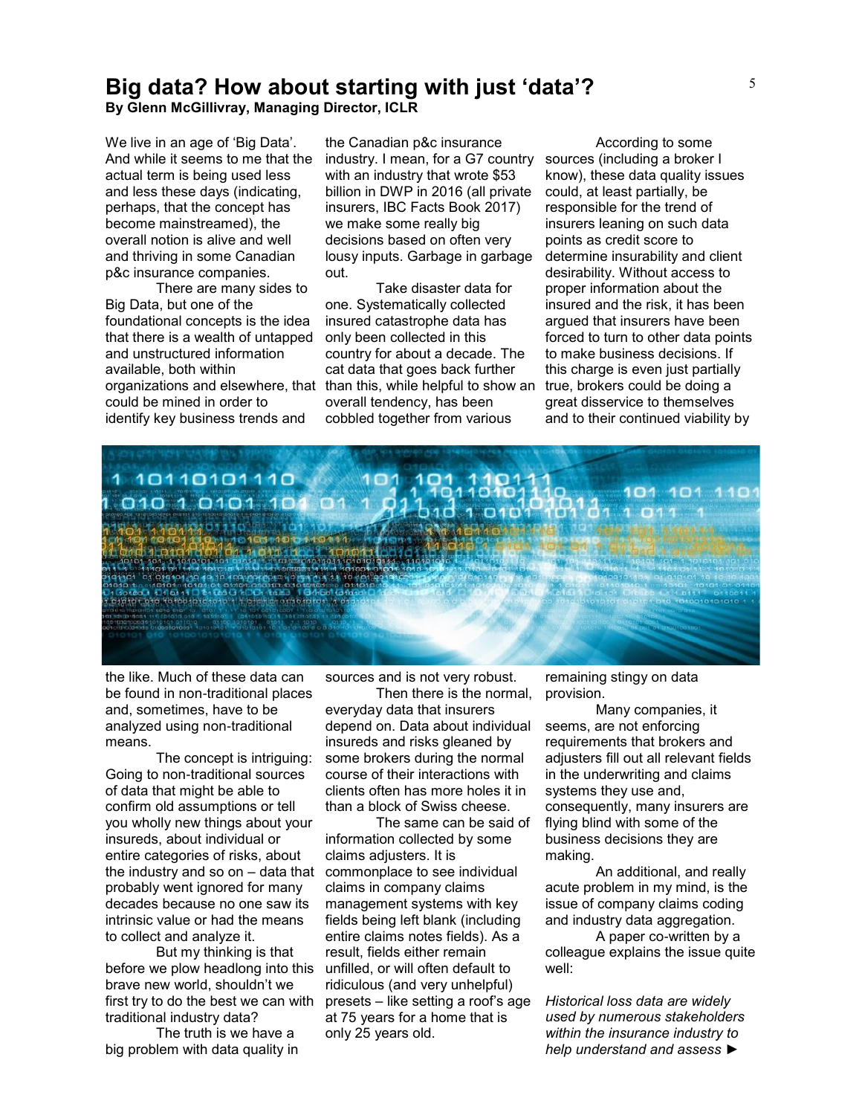# **Big data? How about starting with just 'data'?**

**By Glenn McGillivray, Managing Director, ICLR**

We live in an age of 'Big Data'. And while it seems to me that the actual term is being used less and less these days (indicating, perhaps, that the concept has become mainstreamed), the overall notion is alive and well and thriving in some Canadian p&c insurance companies.

There are many sides to Big Data, but one of the foundational concepts is the idea that there is a wealth of untapped and unstructured information available, both within could be mined in order to identify key business trends and

the Canadian p&c insurance industry. I mean, for a G7 country sources (including a broker I with an industry that wrote \$53 billion in DWP in 2016 (all private insurers, IBC Facts Book 2017) we make some really big decisions based on often very lousy inputs. Garbage in garbage out.

organizations and elsewhere, that than this, while helpful to show an true, brokers could be doing a Take disaster data for one. Systematically collected insured catastrophe data has only been collected in this country for about a decade. The cat data that goes back further overall tendency, has been cobbled together from various

According to some know), these data quality issues could, at least partially, be responsible for the trend of insurers leaning on such data points as credit score to determine insurability and client desirability. Without access to proper information about the insured and the risk, it has been argued that insurers have been forced to turn to other data points to make business decisions. If this charge is even just partially great disservice to themselves and to their continued viability by



the like. Much of these data can be found in non-traditional places and, sometimes, have to be analyzed using non-traditional means.

The concept is intriguing: Going to non-traditional sources of data that might be able to confirm old assumptions or tell you wholly new things about your insureds, about individual or entire categories of risks, about the industry and so on – data that probably went ignored for many decades because no one saw its intrinsic value or had the means to collect and analyze it.

But my thinking is that before we plow headlong into this brave new world, shouldn't we first try to do the best we can with presets – like setting a roof's age traditional industry data?

The truth is we have a big problem with data quality in sources and is not very robust.

Then there is the normal, everyday data that insurers depend on. Data about individual insureds and risks gleaned by some brokers during the normal course of their interactions with clients often has more holes it in than a block of Swiss cheese.

The same can be said of information collected by some claims adjusters. It is commonplace to see individual claims in company claims management systems with key fields being left blank (including entire claims notes fields). As a result, fields either remain unfilled, or will often default to ridiculous (and very unhelpful) at 75 years for a home that is only 25 years old.

remaining stingy on data provision.

Many companies, it seems, are not enforcing requirements that brokers and adjusters fill out all relevant fields in the underwriting and claims systems they use and, consequently, many insurers are flying blind with some of the business decisions they are making.

An additional, and really acute problem in my mind, is the issue of company claims coding and industry data aggregation.

A paper co-written by a colleague explains the issue quite well:

*Historical loss data are widely used by numerous stakeholders within the insurance industry to help understand and assess* ►